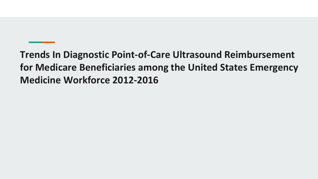**Trends In Diagnostic Point-of-Care Ultrasound Reimbursement for Medicare Beneficiaries among the United States Emergency Medicine Workforce 2012-2016**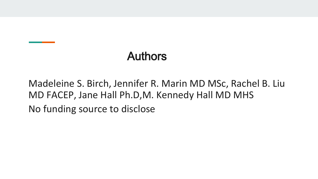## Authors

Madeleine S. Birch, Jennifer R. Marin MD MSc, Rachel B. Liu MD FACEP, Jane Hall Ph.D,M. Kennedy Hall MD MHS No funding source to disclose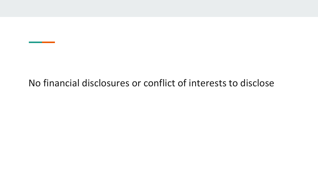#### No financial disclosures or conflict of interests to disclose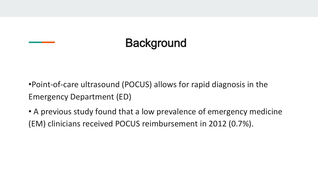## **Background**

•Point-of-care ultrasound (POCUS) allows for rapid diagnosis in the Emergency Department (ED)

• A previous study found that a low prevalence of emergency medicine (EM) clinicians received POCUS reimbursement in 2012 (0.7%).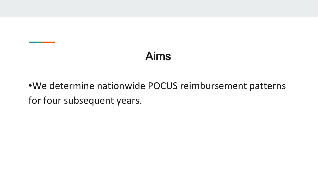## Aims

#### •We determine nationwide POCUS reimbursement patterns for four subsequent years.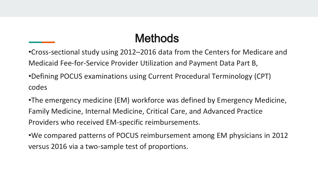#### **Methods**

•Cross-sectional study using 2012–2016 data from the Centers for Medicare and Medicaid Fee-for-Service Provider Utilization and Payment Data Part B,

•Defining POCUS examinations using Current Procedural Terminology (CPT) codes

•The emergency medicine (EM) workforce was defined by Emergency Medicine, Family Medicine, Internal Medicine, Critical Care, and Advanced Practice Providers who received EM-specific reimbursements.

•We compared patterns of POCUS reimbursement among EM physicians in 2012 versus 2016 via a two-sample test of proportions.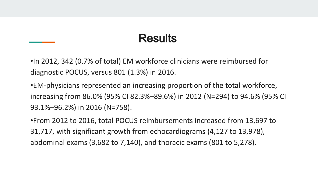#### **Results**

•In 2012, 342 (0.7% of total) EM workforce clinicians were reimbursed for diagnostic POCUS, versus 801 (1.3%) in 2016.

•EM-physicians represented an increasing proportion of the total workforce, increasing from 86.0% (95% CI 82.3%–89.6%) in 2012 (N=294) to 94.6% (95% CI 93.1%–96.2%) in 2016 (N=758).

•From 2012 to 2016, total POCUS reimbursements increased from 13,697 to 31,717, with significant growth from echocardiograms (4,127 to 13,978), abdominal exams (3,682 to 7,140), and thoracic exams (801 to 5,278).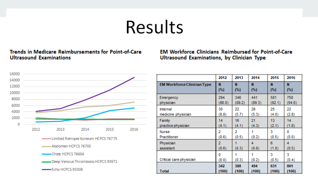# Results

#### Trends in Medicare Reimbursements for Point-of-Care **Ultrasound Examinations**

**EM Workforce Clinicians Reimbursed for Point-of-Care** Ultrasound Examinations, by Clinician Type



|                                    | 2012       | 2013   | 2014   | 2015       | 2016       |
|------------------------------------|------------|--------|--------|------------|------------|
| <b>EM Workforce Clinician Type</b> | N          | N      | N      | N          | N          |
|                                    | (%)        | $(\%)$ | (%)    | (%)        | (%)        |
| Emergency                          | 294        | 346    | 441    | 581        | 758        |
| physician                          | (86.0)     | (89.2) | (89.3) | (92.1)     | (94.6)     |
| Internal                           | 30         | 22     | 26     | 25         | 22         |
| medicine physician                 | (8.8)      | (5.7)  | (5.3)  | (4.0)      | (2.8)      |
| Family                             | 14         | 16     | 21     | 13         | 14         |
| practice physician                 | (4.1)      | (4.1)  | (4.3)  | (2.1)      | (1.8)      |
| Nurse                              | 2          | 2      | (0.2)  | 3          | o          |
| Practitioner                       | (0.6)      | (0.5)  |        | (0.5)      | (0.0)      |
| Physician                          | 2          | (0.3)  | 4      | 6          | 4          |
| assistant                          | (0.6)      |        | (0.8)  | (1.0)      | (0.5)      |
| Critical care physician            | o<br>(0.0) | (0.3)  | (0.2)  | 3<br>(0.5) | 3<br>(0.4) |
| <b>Total</b>                       | 342        | 388    | 494    | 631        | 801        |
|                                    | (100)      | (100)  | (100)  | (100)      | (100)      |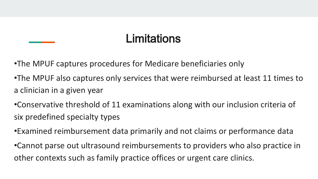#### **Limitations**

•The MPUF captures procedures for Medicare beneficiaries only

•The MPUF also captures only services that were reimbursed at least 11 times to a clinician in a given year

•Conservative threshold of 11 examinations along with our inclusion criteria of six predefined specialty types

•Examined reimbursement data primarily and not claims or performance data

•Cannot parse out ultrasound reimbursements to providers who also practice in other contexts such as family practice offices or urgent care clinics.